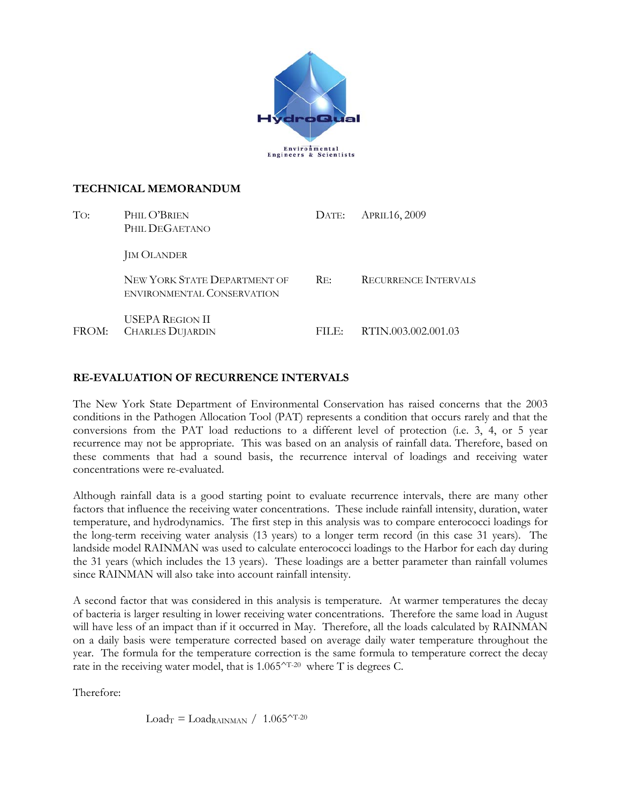

## **TECHNICAL MEMORANDUM**

| To:   | PHIL O'BRIEN<br>PHIL DEGAETANO                             | DATE:    | <b>APRIL16, 2009</b>        |  |
|-------|------------------------------------------------------------|----------|-----------------------------|--|
|       | <b>JIM OLANDER</b>                                         |          |                             |  |
|       | NEW YORK STATE DEPARTMENT OF<br>ENVIRONMENTAL CONSERVATION | Re:      | <b>RECURRENCE INTERVALS</b> |  |
| FROM: | USEPA REGION II<br><b>CHARLES DUJARDIN</b>                 | $FILE^*$ | RTIN.003.002.001.03         |  |

## **RE-EVALUATION OF RECURRENCE INTERVALS**

The New York State Department of Environmental Conservation has raised concerns that the 2003 conditions in the Pathogen Allocation Tool (PAT) represents a condition that occurs rarely and that the conversions from the PAT load reductions to a different level of protection (i.e. 3, 4, or 5 year recurrence may not be appropriate. This was based on an analysis of rainfall data. Therefore, based on these comments that had a sound basis, the recurrence interval of loadings and receiving water concentrations were re-evaluated.

Although rainfall data is a good starting point to evaluate recurrence intervals, there are many other factors that influence the receiving water concentrations. These include rainfall intensity, duration, water temperature, and hydrodynamics. The first step in this analysis was to compare enterococci loadings for the long-term receiving water analysis (13 years) to a longer term record (in this case 31 years). The landside model RAINMAN was used to calculate enterococci loadings to the Harbor for each day during the 31 years (which includes the 13 years). These loadings are a better parameter than rainfall volumes since RAINMAN will also take into account rainfall intensity.

A second factor that was considered in this analysis is temperature. At warmer temperatures the decay of bacteria is larger resulting in lower receiving water concentrations. Therefore the same load in August will have less of an impact than if it occurred in May. Therefore, all the loads calculated by RAINMAN on a daily basis were temperature corrected based on average daily water temperature throughout the year. The formula for the temperature correction is the same formula to temperature correct the decay rate in the receiving water model, that is 1.065<sup> $\sim$ T-20</sup> where T is degrees C.

Therefore:

 $Load_T = Load_{RAMAN} / 1.065^{\wedge T-20}$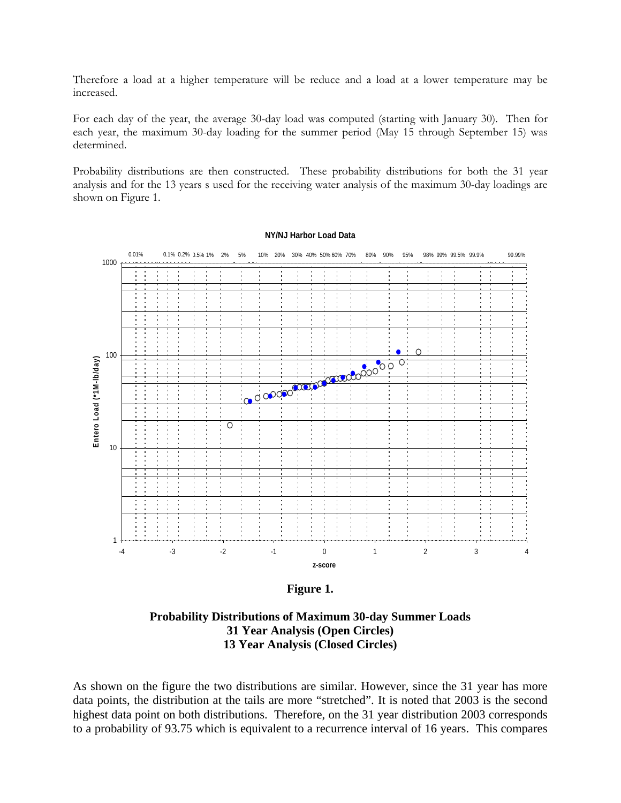Therefore a load at a higher temperature will be reduce and a load at a lower temperature may be increased.

For each day of the year, the average 30-day load was computed (starting with January 30). Then for each year, the maximum 30-day loading for the summer period (May 15 through September 15) was determined.

Probability distributions are then constructed. These probability distributions for both the 31 year analysis and for the 13 years s used for the receiving water analysis of the maximum 30-day loadings are shown on Figure 1.

## **NY/NJ Harbor Load Data**



**Figure 1.** 

**Probability Distributions of Maximum 30-day Summer Loads 31 Year Analysis (Open Circles) 13 Year Analysis (Closed Circles)** 

As shown on the figure the two distributions are similar. However, since the 31 year has more data points, the distribution at the tails are more "stretched". It is noted that 2003 is the second highest data point on both distributions. Therefore, on the 31 year distribution 2003 corresponds to a probability of 93.75 which is equivalent to a recurrence interval of 16 years. This compares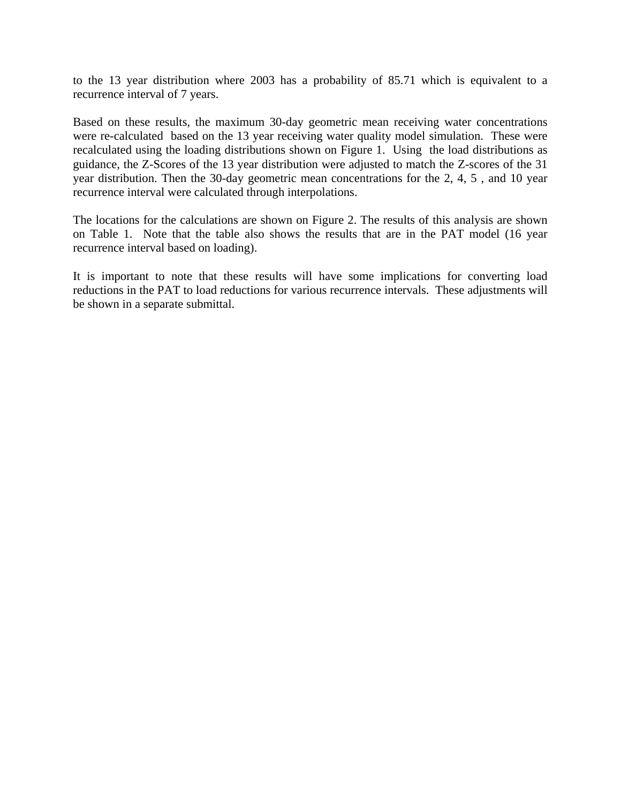to the 13 year distribution where 2003 has a probability of 85.71 which is equivalent to a recurrence interval of 7 years.

Based on these results, the maximum 30-day geometric mean receiving water concentrations were re-calculated based on the 13 year receiving water quality model simulation. These were recalculated using the loading distributions shown on Figure 1. Using the load distributions as guidance, the Z-Scores of the 13 year distribution were adjusted to match the Z-scores of the 31 year distribution. Then the 30-day geometric mean concentrations for the 2, 4, 5 , and 10 year recurrence interval were calculated through interpolations.

The locations for the calculations are shown on Figure 2. The results of this analysis are shown on Table 1. Note that the table also shows the results that are in the PAT model (16 year recurrence interval based on loading).

It is important to note that these results will have some implications for converting load reductions in the PAT to load reductions for various recurrence intervals. These adjustments will be shown in a separate submittal.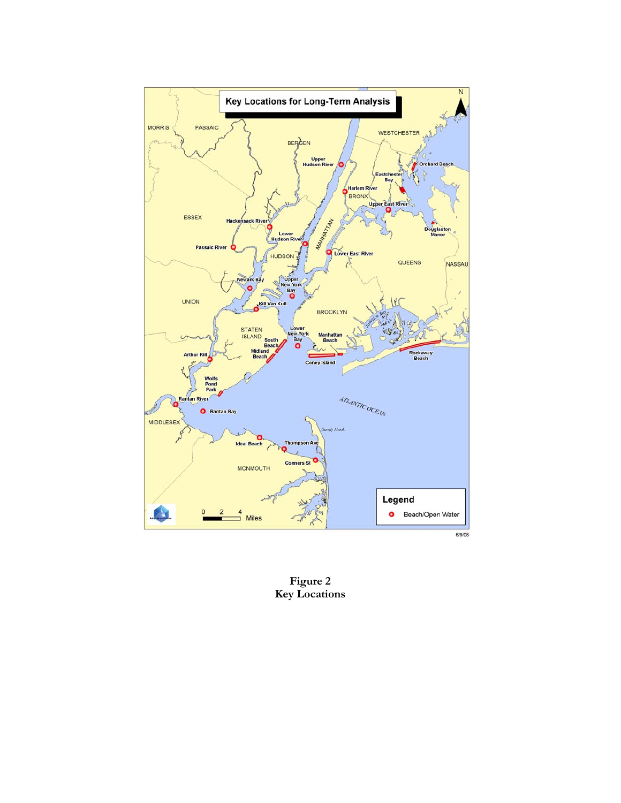

**Figure 2 Key Locations**